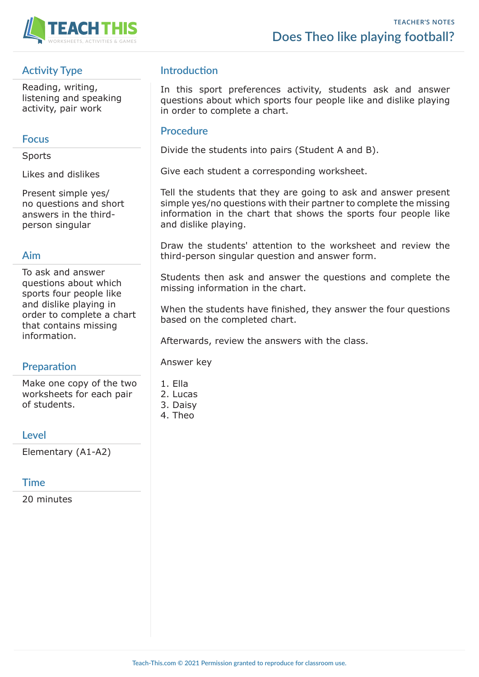

# **Activity Type**

Reading, writing, listening and speaking activity, pair work

## **Focus**

**Sports** 

Likes and dislikes

Present simple yes/ no questions and short answers in the thirdperson singular

## **Aim**

To ask and answer questions about which sports four people like and dislike playing in order to complete a chart that contains missing information.

## **Preparation**

Make one copy of the two worksheets for each pair of students.

#### **Level**

Elementary (A1-A2)

## **Time**

20 minutes

## **Introduction**

In this sport preferences activity, students ask and answer questions about which sports four people like and dislike playing in order to complete a chart.

#### **Procedure**

Divide the students into pairs (Student A and B).

Give each student a corresponding worksheet.

Tell the students that they are going to ask and answer present simple yes/no questions with their partner to complete the missing information in the chart that shows the sports four people like and dislike playing.

Draw the students' attention to the worksheet and review the third-person singular question and answer form.

Students then ask and answer the questions and complete the missing information in the chart.

When the students have finished, they answer the four questions based on the completed chart.

Afterwards, review the answers with the class.

Answer key

- 1. Ella
- 2. Lucas
- 3. Daisy
- 4. Theo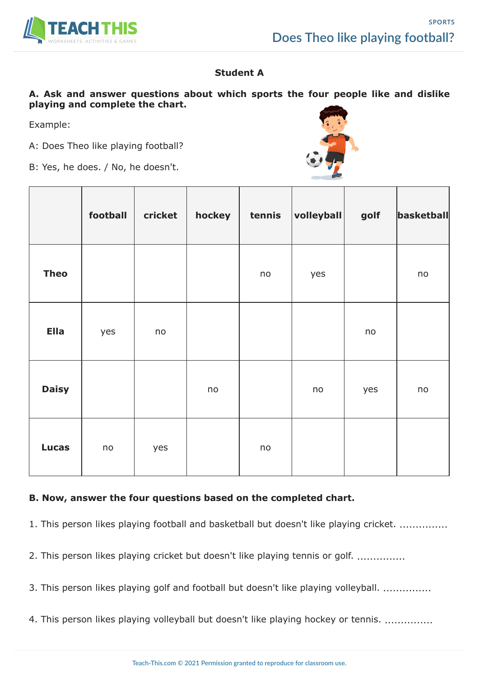

## **Student A**

#### **A. Ask and answer questions about which sports the four people like and dislike playing and complete the chart.**

Example:

A: Does Theo like playing football?

B: Yes, he does. / No, he doesn't.

|              | football | cricket | hockey | tennis | volleyball | golf | basketball |
|--------------|----------|---------|--------|--------|------------|------|------------|
| <b>Theo</b>  |          |         |        | no     | yes        |      | no         |
| <b>Ella</b>  | yes      | no      |        |        |            | no   |            |
| <b>Daisy</b> |          |         | no     |        | no         | yes  | no         |
| <b>Lucas</b> | no       | yes     |        | no     |            |      |            |

#### **B. Now, answer the four questions based on the completed chart.**

1. This person likes playing football and basketball but doesn't like playing cricket. ..............

2. This person likes playing cricket but doesn't like playing tennis or golf. ..............

- 3. This person likes playing golf and football but doesn't like playing volleyball. ...............
- 4. This person likes playing volleyball but doesn't like playing hockey or tennis. ...............